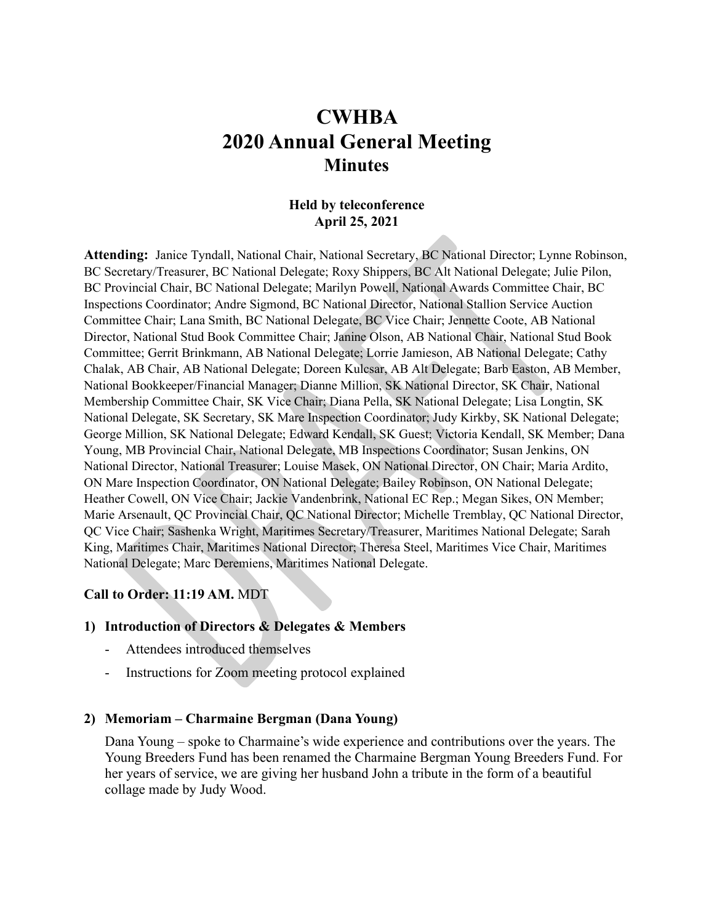# **CWHBA 2020 Annual General Meeting Minutes**

#### **Held by teleconference April 25, 2021**

**Attending:** Janice Tyndall, National Chair, National Secretary, BC National Director; Lynne Robinson, BC Secretary/Treasurer, BC National Delegate; Roxy Shippers, BC Alt National Delegate; Julie Pilon, BC Provincial Chair, BC National Delegate; Marilyn Powell, National Awards Committee Chair, BC Inspections Coordinator; Andre Sigmond, BC National Director, National Stallion Service Auction Committee Chair; Lana Smith, BC National Delegate, BC Vice Chair; Jennette Coote, AB National Director, National Stud Book Committee Chair; Janine Olson, AB National Chair, National Stud Book Committee; Gerrit Brinkmann, AB National Delegate; Lorrie Jamieson, AB National Delegate; Cathy Chalak, AB Chair, AB National Delegate; Doreen Kulcsar, AB Alt Delegate; Barb Easton, AB Member, National Bookkeeper/Financial Manager; Dianne Million, SK National Director, SK Chair, National Membership Committee Chair, SK Vice Chair; Diana Pella, SK National Delegate; Lisa Longtin, SK National Delegate, SK Secretary, SK Mare Inspection Coordinator; Judy Kirkby, SK National Delegate; George Million, SK National Delegate; Edward Kendall, SK Guest; Victoria Kendall, SK Member; Dana Young, MB Provincial Chair, National Delegate, MB Inspections Coordinator; Susan Jenkins, ON National Director, National Treasurer; Louise Masek, ON National Director, ON Chair; Maria Ardito, ON Mare Inspection Coordinator, ON National Delegate; Bailey Robinson, ON National Delegate; Heather Cowell, ON Vice Chair; Jackie Vandenbrink, National EC Rep.; Megan Sikes, ON Member; Marie Arsenault, QC Provincial Chair, QC National Director; Michelle Tremblay, QC National Director, QC Vice Chair; Sashenka Wright, Maritimes Secretary/Treasurer, Maritimes National Delegate; Sarah King, Maritimes Chair, Maritimes National Director; Theresa Steel, Maritimes Vice Chair, Maritimes National Delegate; Marc Deremiens, Maritimes National Delegate.

#### **Call to Order: 11:19 AM.** MDT

#### **1) Introduction of Directors & Delegates & Members**

- Attendees introduced themselves
- Instructions for Zoom meeting protocol explained

#### **2) Memoriam – Charmaine Bergman (Dana Young)**

Dana Young – spoke to Charmaine's wide experience and contributions over the years. The Young Breeders Fund has been renamed the Charmaine Bergman Young Breeders Fund. For her years of service, we are giving her husband John a tribute in the form of a beautiful collage made by Judy Wood.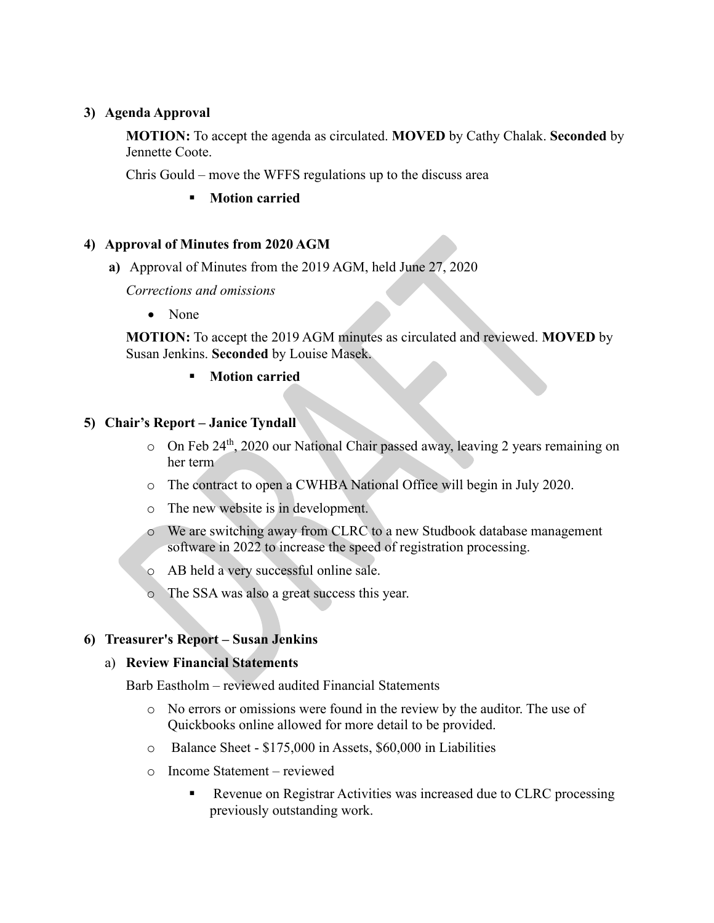# **3) Agenda Approval**

**MOTION:** To accept the agenda as circulated. **MOVED** by Cathy Chalak. **Seconded** by Jennette Coote.

Chris Gould – move the WFFS regulations up to the discuss area

**F** Motion carried

#### **4) Approval of Minutes from 2020 AGM**

**a)** Approval of Minutes from the 2019 AGM, held June 27, 2020

*Corrections and omissions*

• None

**MOTION:** To accept the 2019 AGM minutes as circulated and reviewed. **MOVED** by Susan Jenkins. **Seconded** by Louise Masek.

**Motion carried**

# **5) Chair's Report – Janice Tyndall**

- $\circ$  On Feb 24<sup>th</sup>, 2020 our National Chair passed away, leaving 2 years remaining on her term
- o The contract to open a CWHBA National Office will begin in July 2020.
- o The new website is in development.
- o We are switching away from CLRC to a new Studbook database management software in 2022 to increase the speed of registration processing.
- o AB held a very successful online sale.
- o The SSA was also a great success this year.

# **6) Treasurer's Report – Susan Jenkins**

#### a) **Review Financial Statements**

Barb Eastholm – reviewed audited Financial Statements

- o No errors or omissions were found in the review by the auditor. The use of Quickbooks online allowed for more detail to be provided.
- o Balance Sheet \$175,000 in Assets, \$60,000 in Liabilities
- o Income Statement reviewed
	- Revenue on Registrar Activities was increased due to CLRC processing previously outstanding work.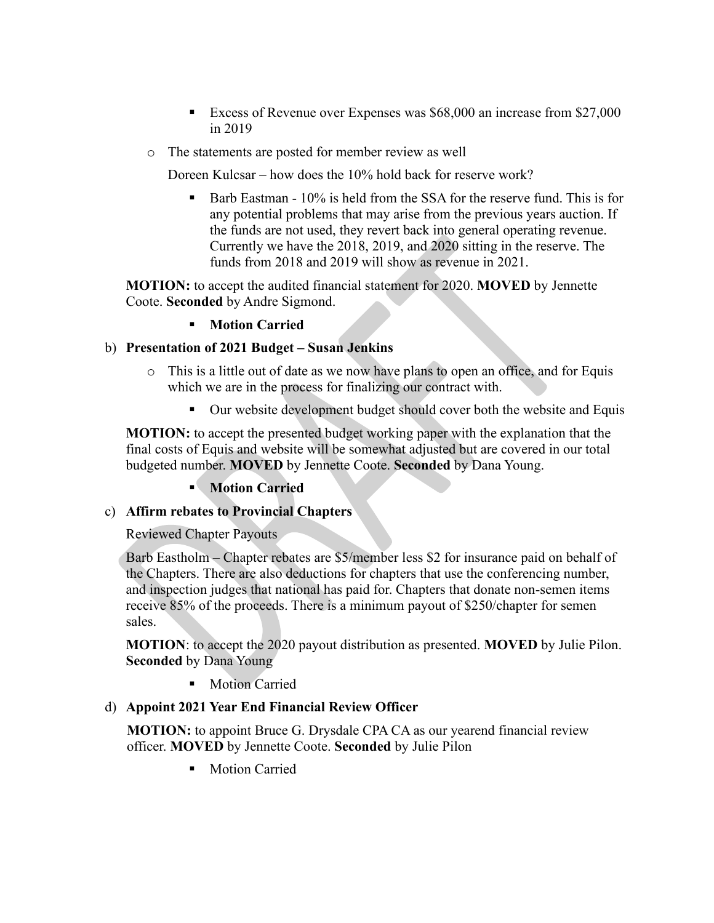- Excess of Revenue over Expenses was \$68,000 an increase from \$27,000 in 2019
- o The statements are posted for member review as well

Doreen Kulcsar – how does the 10% hold back for reserve work?

 Barb Eastman - 10% is held from the SSA for the reserve fund. This is for any potential problems that may arise from the previous years auction. If the funds are not used, they revert back into general operating revenue. Currently we have the 2018, 2019, and 2020 sitting in the reserve. The funds from 2018 and 2019 will show as revenue in 2021.

**MOTION:** to accept the audited financial statement for 2020. **MOVED** by Jennette Coote. **Seconded** by Andre Sigmond.

#### **Motion Carried**

#### b) **Presentation of 2021 Budget – Susan Jenkins**

- o This is a little out of date as we now have plans to open an office, and for Equis which we are in the process for finalizing our contract with.
	- Our website development budget should cover both the website and Equis

**MOTION:** to accept the presented budget working paper with the explanation that the final costs of Equis and website will be somewhat adjusted but are covered in our total budgeted number. **MOVED** by Jennette Coote. **Seconded** by Dana Young.

# **Motion Carried**

# c) **Affirm rebates to Provincial Chapters**

Reviewed Chapter Payouts

Barb Eastholm – Chapter rebates are \$5/member less \$2 for insurance paid on behalf of the Chapters. There are also deductions for chapters that use the conferencing number, and inspection judges that national has paid for. Chapters that donate non-semen items receive 85% of the proceeds. There is a minimum payout of \$250/chapter for semen sales.

**MOTION**: to accept the 2020 payout distribution as presented. **MOVED** by Julie Pilon. **Seconded** by Dana Young

**•** Motion Carried

#### d) **Appoint 2021 Year End Financial Review Officer**

**MOTION:** to appoint Bruce G. Drysdale CPA CA as our yearend financial review officer. **MOVED** by Jennette Coote. **Seconded** by Julie Pilon

**Motion Carried**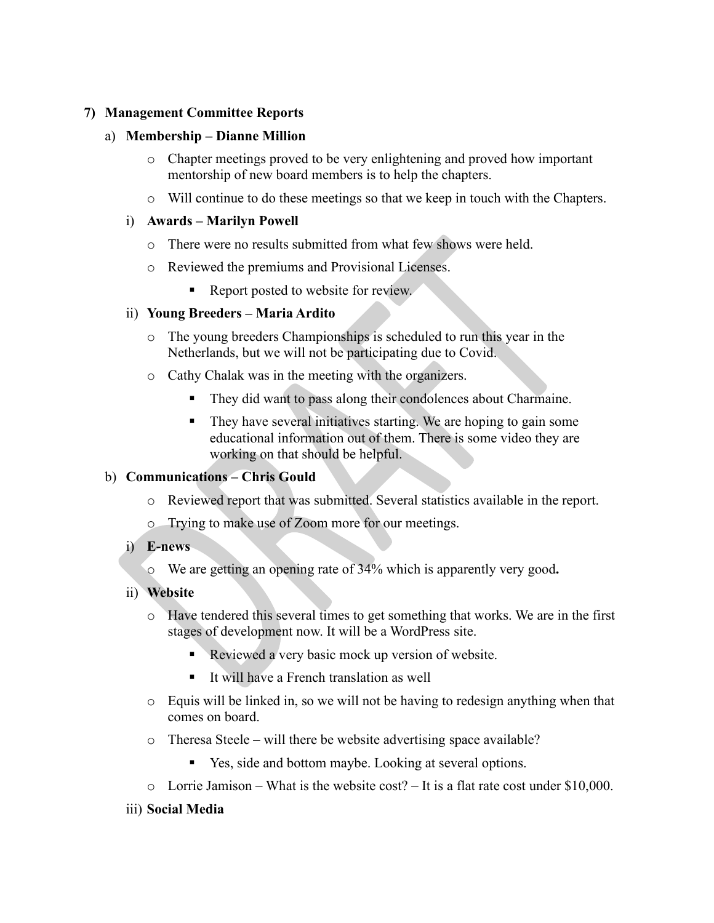### **7) Management Committee Reports**

#### a) **Membership – Dianne Million**

- o Chapter meetings proved to be very enlightening and proved how important mentorship of new board members is to help the chapters.
- o Will continue to do these meetings so that we keep in touch with the Chapters.

#### i) **Awards – Marilyn Powell**

- o There were no results submitted from what few shows were held.
- o Reviewed the premiums and Provisional Licenses.
	- Report posted to website for review.

#### ii) **Young Breeders – Maria Ardito**

- o The young breeders Championships is scheduled to run this year in the Netherlands, but we will not be participating due to Covid.
- o Cathy Chalak was in the meeting with the organizers.
	- They did want to pass along their condolences about Charmaine.
	- They have several initiatives starting. We are hoping to gain some educational information out of them. There is some video they are working on that should be helpful.

# b) **Communications – Chris Gould**

- o Reviewed report that was submitted. Several statistics available in the report.
- o Trying to make use of Zoom more for our meetings.
- i) **E-news**
	- o We are getting an opening rate of 34% which is apparently very good**.**
- ii) **Website**
	- o Have tendered this several times to get something that works. We are in the first stages of development now. It will be a WordPress site.
		- Reviewed a very basic mock up version of website.
		- It will have a French translation as well
	- o Equis will be linked in, so we will not be having to redesign anything when that comes on board.
	- o Theresa Steele will there be website advertising space available?
		- Yes, side and bottom maybe. Looking at several options.
	- $\circ$  Lorrie Jamison What is the website cost? It is a flat rate cost under \$10,000.
- iii) **Social Media**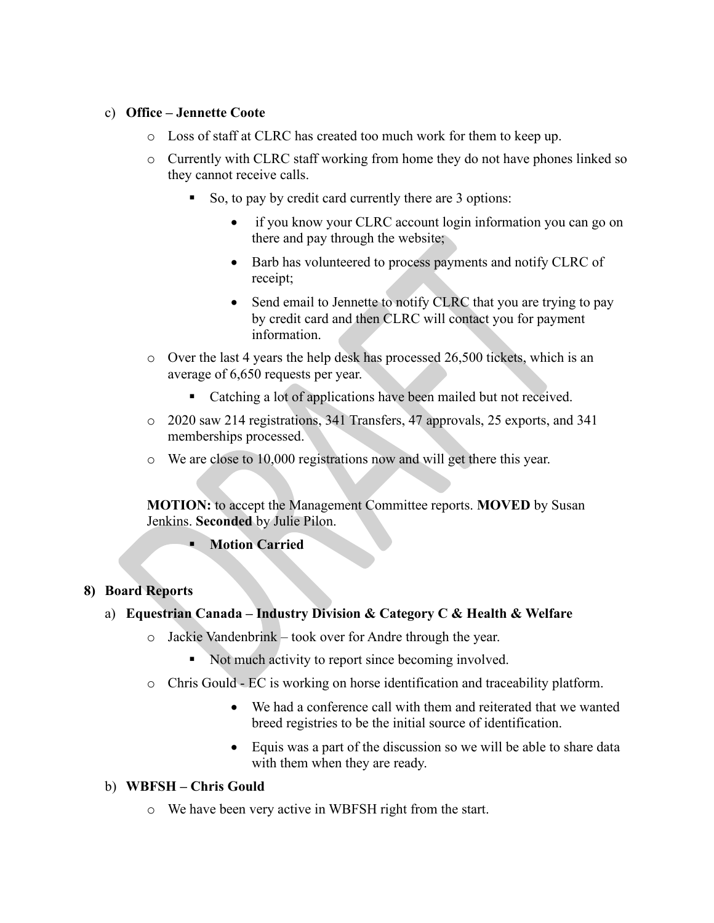#### c) **Office – Jennette Coote**

- o Loss of staff at CLRC has created too much work for them to keep up.
- o Currently with CLRC staff working from home they do not have phones linked so they cannot receive calls.
	- So, to pay by credit card currently there are 3 options:
		- if you know your CLRC account login information you can go on there and pay through the website;
		- Barb has volunteered to process payments and notify CLRC of receipt;
		- Send email to Jennette to notify CLRC that you are trying to pay by credit card and then CLRC will contact you for payment information.
- o Over the last 4 years the help desk has processed 26,500 tickets, which is an average of 6,650 requests per year.
	- Catching a lot of applications have been mailed but not received.
- o 2020 saw 214 registrations, 341 Transfers, 47 approvals, 25 exports, and 341 memberships processed.
- o We are close to 10,000 registrations now and will get there this year.

**MOTION:** to accept the Management Committee reports. **MOVED** by Susan Jenkins. **Seconded** by Julie Pilon.

**Motion Carried**

# **8) Board Reports**

# a) **Equestrian Canada – Industry Division & Category C & Health & Welfare**

- o Jackie Vandenbrink took over for Andre through the year.
	- Not much activity to report since becoming involved.
- o Chris Gould EC is working on horse identification and traceability platform.
	- We had a conference call with them and reiterated that we wanted breed registries to be the initial source of identification.
	- Equis was a part of the discussion so we will be able to share data with them when they are ready.

# b) **WBFSH – Chris Gould**

o We have been very active in WBFSH right from the start.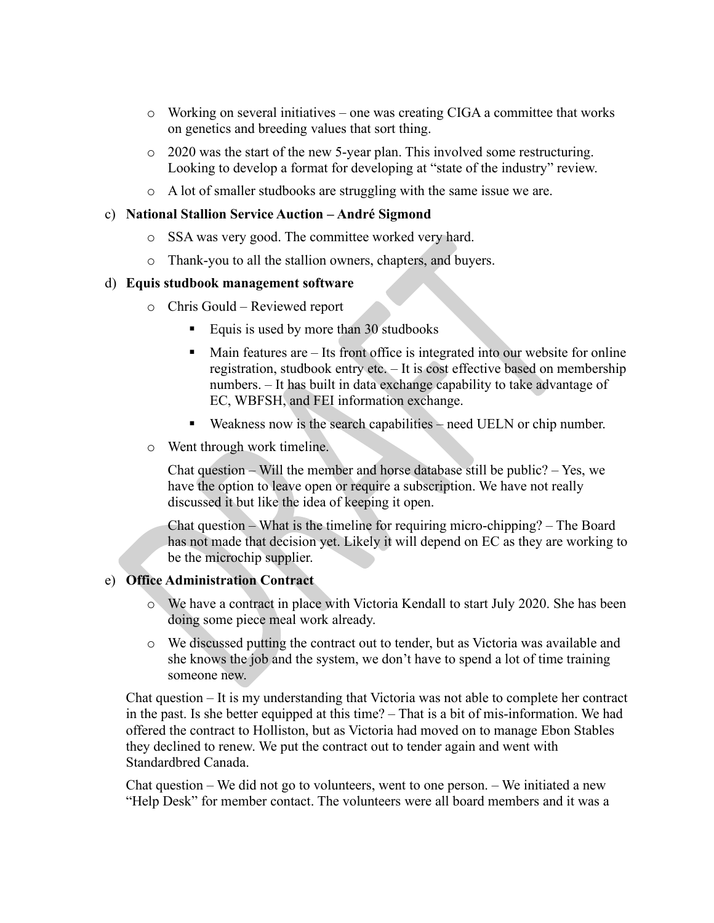- o Working on several initiatives one was creating CIGA a committee that works on genetics and breeding values that sort thing.
- o 2020 was the start of the new 5-year plan. This involved some restructuring. Looking to develop a format for developing at "state of the industry" review.
- o A lot of smaller studbooks are struggling with the same issue we are.

#### c) **National Stallion Service Auction – André Sigmond**

- o SSA was very good. The committee worked very hard.
- o Thank-you to all the stallion owners, chapters, and buyers.

#### d) **Equis studbook management software**

- o Chris Gould Reviewed report
	- Equis is used by more than 30 studbooks
	- $\blacksquare$  Main features are  $-$  Its front office is integrated into our website for online registration, studbook entry etc. – It is cost effective based on membership numbers. – It has built in data exchange capability to take advantage of EC, WBFSH, and FEI information exchange.
	- Weakness now is the search capabilities need UELN or chip number.
- o Went through work timeline.

Chat question – Will the member and horse database still be public? – Yes, we have the option to leave open or require a subscription. We have not really discussed it but like the idea of keeping it open.

Chat question – What is the timeline for requiring micro-chipping? – The Board has not made that decision yet. Likely it will depend on EC as they are working to be the microchip supplier.

# e) **Office Administration Contract**

- o We have a contract in place with Victoria Kendall to start July 2020. She has been doing some piece meal work already.
- o We discussed putting the contract out to tender, but as Victoria was available and she knows the job and the system, we don't have to spend a lot of time training someone new.

Chat question – It is my understanding that Victoria was not able to complete her contract in the past. Is she better equipped at this time? – That is a bit of mis-information. We had offered the contract to Holliston, but as Victoria had moved on to manage Ebon Stables they declined to renew. We put the contract out to tender again and went with Standardbred Canada.

Chat question – We did not go to volunteers, went to one person. – We initiated a new "Help Desk" for member contact. The volunteers were all board members and it was a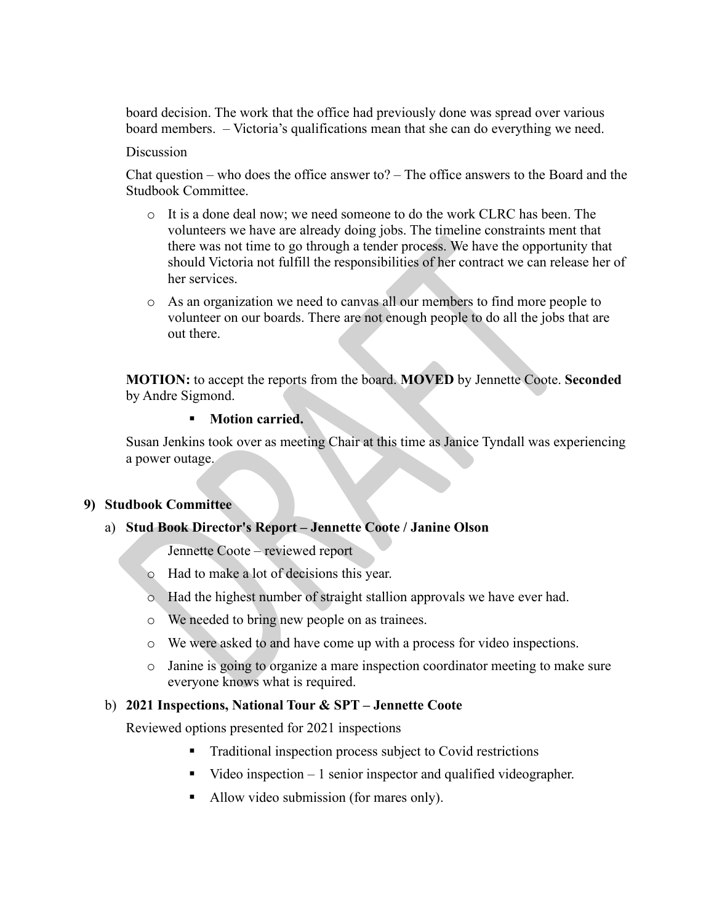board decision. The work that the office had previously done was spread over various board members. – Victoria's qualifications mean that she can do everything we need.

#### **Discussion**

Chat question – who does the office answer to? – The office answers to the Board and the Studbook Committee.

- o It is a done deal now; we need someone to do the work CLRC has been. The volunteers we have are already doing jobs. The timeline constraints ment that there was not time to go through a tender process. We have the opportunity that should Victoria not fulfill the responsibilities of her contract we can release her of her services.
- o As an organization we need to canvas all our members to find more people to volunteer on our boards. There are not enough people to do all the jobs that are out there.

**MOTION:** to accept the reports from the board. **MOVED** by Jennette Coote. **Seconded** by Andre Sigmond.

#### **Motion carried.**

Susan Jenkins took over as meeting Chair at this time as Janice Tyndall was experiencing a power outage.

#### **9) Studbook Committee**

#### a) **Stud Book Director's Report – Jennette Coote / Janine Olson**

Jennette Coote – reviewed report

- o Had to make a lot of decisions this year.
- o Had the highest number of straight stallion approvals we have ever had.
- o We needed to bring new people on as trainees.
- o We were asked to and have come up with a process for video inspections.
- o Janine is going to organize a mare inspection coordinator meeting to make sure everyone knows what is required.

#### b) **2021 Inspections, National Tour & SPT – Jennette Coote**

Reviewed options presented for 2021 inspections

- Traditional inspection process subject to Covid restrictions
- $\blacksquare$  Video inspection  $-1$  senior inspector and qualified videographer.
- Allow video submission (for mares only).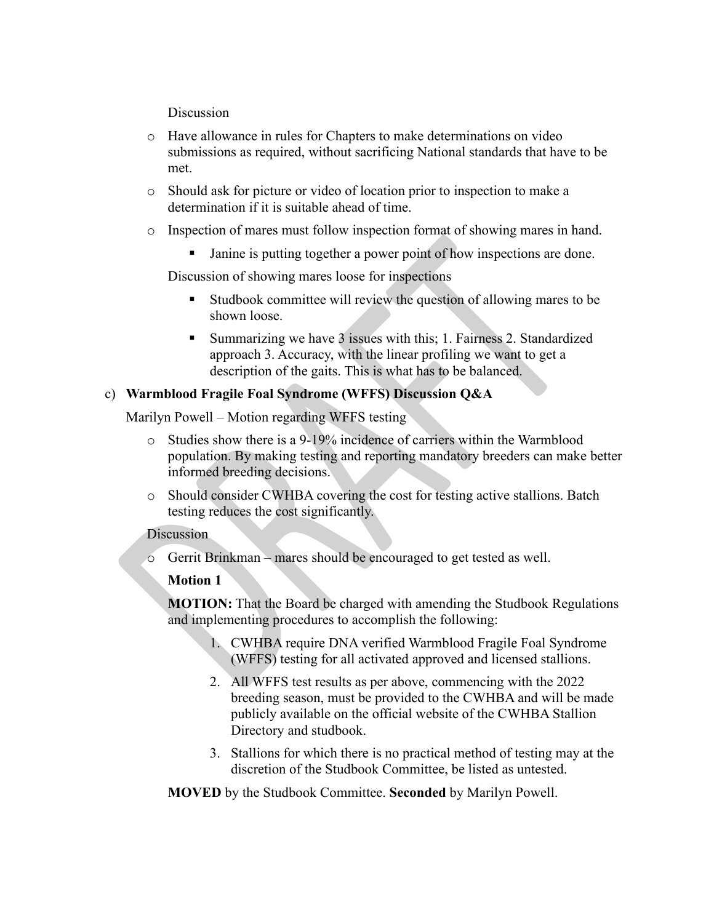**Discussion** 

- o Have allowance in rules for Chapters to make determinations on video submissions as required, without sacrificing National standards that have to be met.
- o Should ask for picture or video of location prior to inspection to make a determination if it is suitable ahead of time.
- o Inspection of mares must follow inspection format of showing mares in hand.
	- Janine is putting together a power point of how inspections are done.

Discussion of showing mares loose for inspections

- Studbook committee will review the question of allowing mares to be shown loose.
- Summarizing we have 3 issues with this; 1. Fairness 2. Standardized approach 3. Accuracy, with the linear profiling we want to get a description of the gaits. This is what has to be balanced.

# c) **Warmblood Fragile Foal Syndrome (WFFS) Discussion Q&A**

Marilyn Powell – Motion regarding WFFS testing

- o Studies show there is a 9-19% incidence of carriers within the Warmblood population. By making testing and reporting mandatory breeders can make better informed breeding decisions.
- o Should consider CWHBA covering the cost for testing active stallions. Batch testing reduces the cost significantly.

#### **Discussion**

o Gerrit Brinkman – mares should be encouraged to get tested as well.

# **Motion 1**

**MOTION:** That the Board be charged with amending the Studbook Regulations and implementing procedures to accomplish the following:

- 1. CWHBA require DNA verified Warmblood Fragile Foal Syndrome (WFFS) testing for all activated approved and licensed stallions.
- 2. All WFFS test results as per above, commencing with the 2022 breeding season, must be provided to the CWHBA and will be made publicly available on the official website of the CWHBA Stallion Directory and studbook.
- 3. Stallions for which there is no practical method of testing may at the discretion of the Studbook Committee, be listed as untested.

**MOVED** by the Studbook Committee. **Seconded** by Marilyn Powell.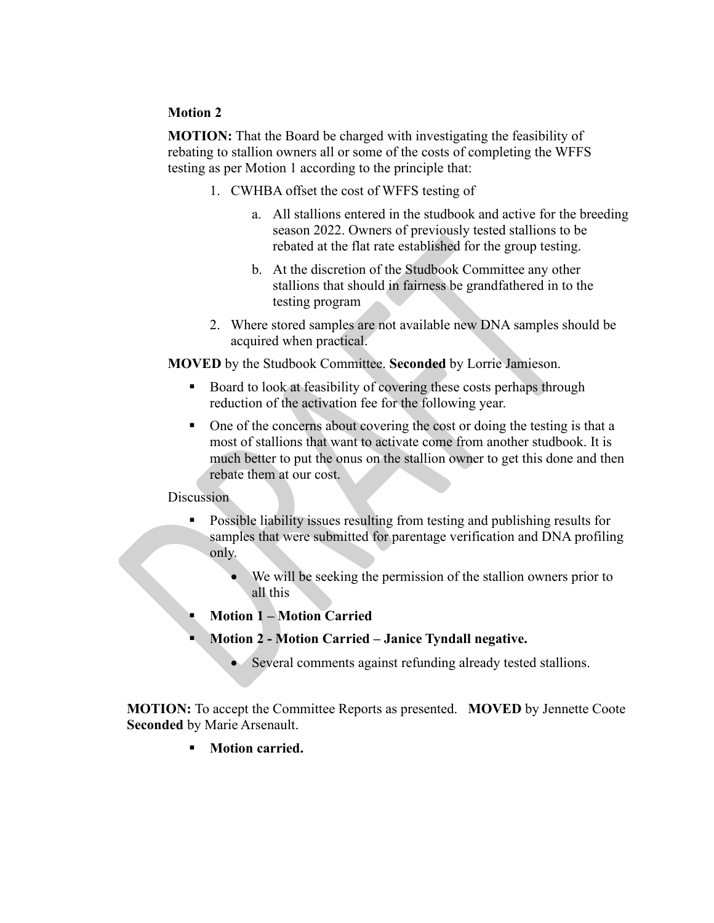#### **Motion 2**

**MOTION:** That the Board be charged with investigating the feasibility of rebating to stallion owners all or some of the costs of completing the WFFS testing as per Motion 1 according to the principle that:

- 1. CWHBA offset the cost of WFFS testing of
	- a. All stallions entered in the studbook and active for the breeding season 2022. Owners of previously tested stallions to be rebated at the flat rate established for the group testing.
	- b. At the discretion of the Studbook Committee any other stallions that should in fairness be grandfathered in to the testing program
- 2. Where stored samples are not available new DNA samples should be acquired when practical.

**MOVED** by the Studbook Committee. **Seconded** by Lorrie Jamieson.

- Board to look at feasibility of covering these costs perhaps through reduction of the activation fee for the following year.
- One of the concerns about covering the cost or doing the testing is that a most of stallions that want to activate come from another studbook. It is much better to put the onus on the stallion owner to get this done and then rebate them at our cost.

#### Discussion

- Possible liability issues resulting from testing and publishing results for samples that were submitted for parentage verification and DNA profiling only.
	- We will be seeking the permission of the stallion owners prior to all this
- **Motion 1 – Motion Carried**
- **Motion 2 - Motion Carried – Janice Tyndall negative.**
	- Several comments against refunding already tested stallions.

**MOTION:** To accept the Committee Reports as presented. **MOVED** by Jennette Coote **Seconded** by Marie Arsenault.

**Motion carried.**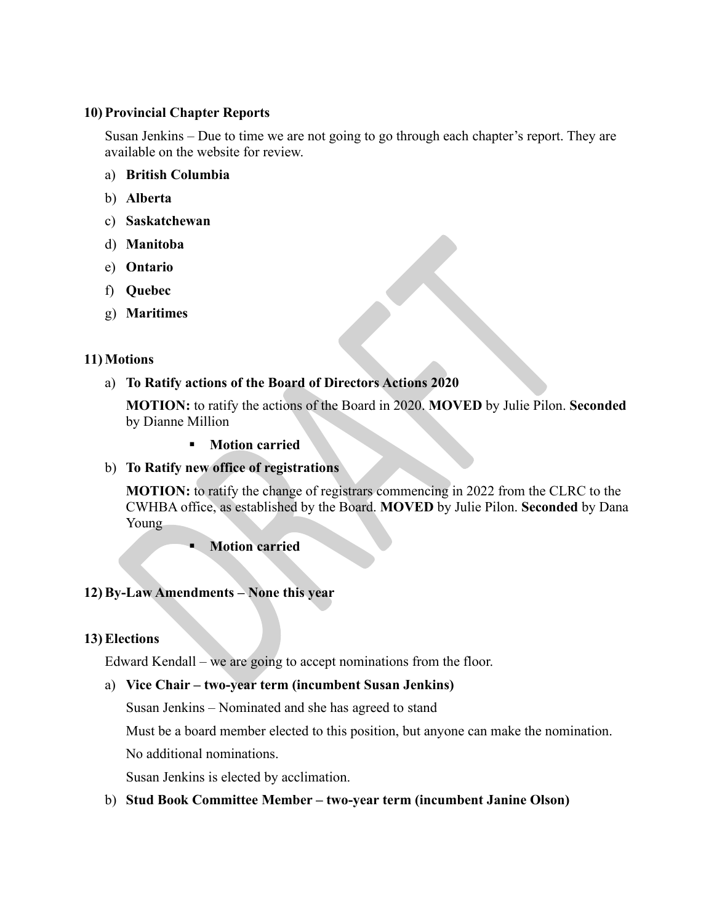#### **10) Provincial Chapter Reports**

Susan Jenkins – Due to time we are not going to go through each chapter's report. They are available on the website for review.

- a) **British Columbia**
- b) **Alberta**
- c) **Saskatchewan**
- d) **Manitoba**
- e) **Ontario**
- f) **Quebec**
- g) **Maritimes**

#### **11) Motions**

# a) **To Ratify actions of the Board of Directors Actions 2020**

**MOTION:** to ratify the actions of the Board in 2020. **MOVED** by Julie Pilon. **Seconded**  by Dianne Million

**Motion carried**

# b) **To Ratify new office of registrations**

**MOTION:** to ratify the change of registrars commencing in 2022 from the CLRC to the CWHBA office, as established by the Board. **MOVED** by Julie Pilon. **Seconded** by Dana Young

**Motion carried**

# **12) By-Law Amendments – None this year**

# **13) Elections**

Edward Kendall – we are going to accept nominations from the floor.

# a) **Vice Chair – two-year term (incumbent Susan Jenkins)**

Susan Jenkins – Nominated and she has agreed to stand

Must be a board member elected to this position, but anyone can make the nomination.

No additional nominations.

Susan Jenkins is elected by acclimation.

# b) **Stud Book Committee Member – two-year term (incumbent Janine Olson)**